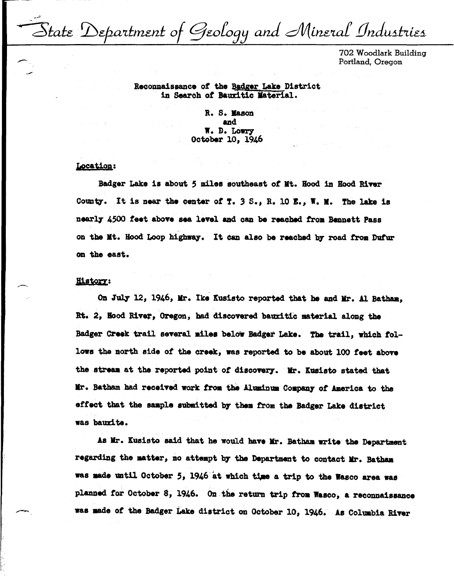State Department of Geology and Mineral Industries

702 Woodlark Building Portland, Oregon

# Reconnaissance of the Badger Lake District in Search of Bauxitic Material.

R. S. Mason and W. D. Lowry October 10, 1946

# Location:

Badger Lake is about 5 miles southeast of Mt. Hood in Hood River County'. It is near the center *ot* T. *3* s., R. 10 I., **w.** •• The lake ie nearly 4500 feet above sea level and can be reached from Bennett Pass on the Mt. Hood Loop highway. It can also be reached by road from Dufur on the east.

## **History:**

On July 12, 1946, Mr. Ike Kusisto reported that he and Mr. Al Batham. Rt. 2, Hood River, Oregon, had discovered bauxitic material along the Badger Creek trail several miles below Badger Lake. The trail, which followa the north side *ot* the creek, was reported to be about 100 feet above the stream at the reported point of discovery. Mr. Kusisto stated that llr. Batbam had received work from the Alain111t Coapan7 *ot* America to the effect that the sample submitted by them from the Badger Lake district was baudte.

As Mr. Kusisto said that he would have Mr. Batham write the Department regarding the matter, no attempt by the Department to contact Mr. Batham **was aade** mtil October *S,* 1946 at which tJ,ae a trip to the Wasco area was planned for October 8, 1946. On the return trip from Wasco, a reconnaissance was made of the Badger Lake district on October 10, 1946. As Columbia River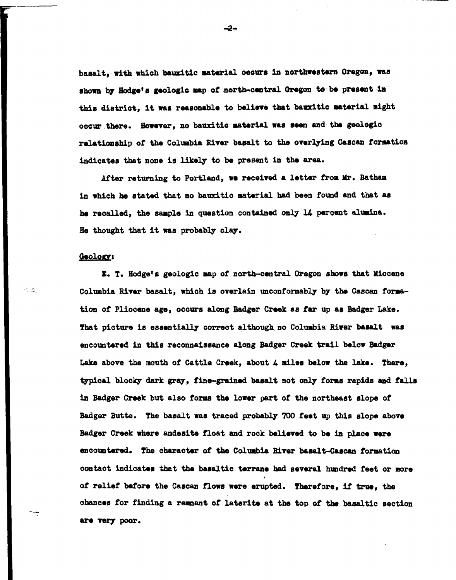basalt. with which bauxitic material occurs in northwestern Oregon. was shown by Hodge's geologic map of north-central Oregon to be present in this district, it was reasonable to believe that bauxitic material might occur there. However, no bauxitic material was seen and the geologic relationship of the Columbia River basalt to the overlying Cascan formation indicates that none is likely to be present in the area.

After returning to Portland, we received a letter from Mr. Batham in which he stated that no bauxitic material had been found and that as he recalled, the 8811ple in question contained only l4 percent aluaina. He thought that it was probably clay.

### Geology:

ヘミ

I. T. Hodge'• geologic map *ot* north-central Oregon **showa** that Miocene Columbia River basalt, which is overlain unconformably by the Cascan formation *ot* Pliocene age, occurs along Badger Creek as tar up aa Badger Lake. That picture is essentially correct although no Columbia River basalt was encountered in this reconnaissance along Badger Creek trail below Badger Lake above the mouth of Cattle Creek, about 4 miles below the lake. There, typical blocky dark gray, fine-grained basalt not only forms rapids and falls in Badger Creek but also forms the lower part of the northeast slope of Badger Butte. The basalt was traced probably 700 feet up this slope above Badger Creek where andesite float and rock believed to be in place were encountered. The character of tbe Coluabia River baaalt-Cascan tormation contact indicates that the basaltic terrane had several hundred feet or more of relief before the Cascan flows were erupted. Therefore, if true, the chances for finding a remnant of laterite at the top of the basaltic section are very poor.

 $-2-$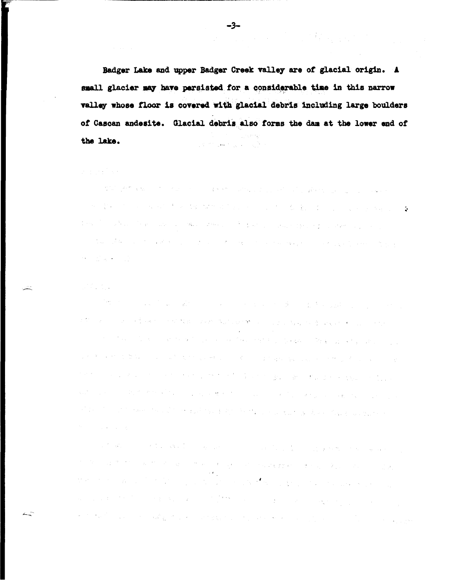Badger Lake and upper Badger Creek valley are of glacial origin. A small glacier may have persisted for a considerable time in this parrow valley whose floor is covered with glacial debris including large boulders of Cascan andesite. Glacial debris also forms the dam at the lower end of the lake.  $\mathcal{L}^{\text{max}}$  and  $\mathcal{L}^{\text{max}}$ 

# $\label{eq:2.1} \begin{split} \mathcal{L}^{\text{c}}\left(\frac{1}{2}\right) & = \frac{1}{2}\left(\frac{1}{2}\right)^{\frac{1}{2}}\left(\frac{1}{2}\right)^{\frac{1}{2}}\left(\frac{1}{2}\right)^{\frac{1}{2}}\left(\frac{1}{2}\right)^{\frac{1}{2}}\left(\frac{1}{2}\right)^{\frac{1}{2}}\left(\frac{1}{2}\right)^{\frac{1}{2}}\left(\frac{1}{2}\right)^{\frac{1}{2}}\left(\frac{1}{2}\right)^{\frac{1}{2}}\left(\frac{1}{2}\right)^{\frac{1}{2}}\left(\frac{1}{2}\right)^{\frac$

and the property of the control of the control of the control of the control of the property of the control of  $\mathcal{L}^{\text{max}}$  , the second contribution of the second contribution of the second contribution of  $\varphi$ the complete the complete state of the state of the complete state of the complete of the state of the (1) 2007年4月11日,1998年4月1日,1999年1月1日,1999年1月1日,1999年1月1日,1999年1月1日,1999年1月1日,1999年1月 **医心脏病 医心脏** 

# 

**"他**"的"一个人","我们是你们的人"。 (1) 10 million of the Constitution of the Constitution → Constitution → Constitution → Constitution → Constitu i i stranici sa njegovi se poveli se vremena na njegovi se postavljanje u Brazilije. Postavljanje se vremenje a katika katika 1994. Kacamatan Sultan ya kuma ya masa ya katika 1995, ya kasa ya katika 1997, ya Kasa ya Kara a kata sa sa kacamatan sa karang sa karang sa tanggalan ng Balanggay sa Banggaya ng Kabupaten Kabupaten Bayan  $\mathcal{L}_{\mathrm{c}}$  . 的复数人名英格兰人姓氏德格雷尔的变体 医白细胞 医阿尔伯氏试验检梅毒 医血管切除术 医心包 医阿尔伯氏征 医血管切除术 **Service Controllers** 

a (1960) – programa starijanski politički konstantinovnik i politički politički politički starija i politički 。<br>1990年,《江苏·林志》第1999年,第1999年,第1999年,第1999年,1999年第299年,第1999年,第299年,第299年,1999年,199 and the same in the company of the same of the same of the same of the company of the company of the same of the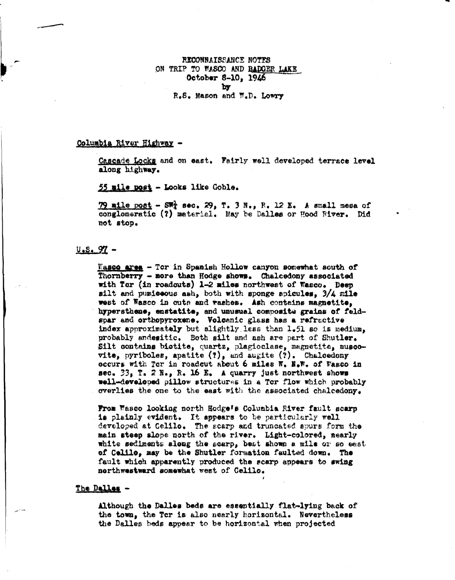RECONNAISSANCE NOTES ON TRIP TO WASCO AND BADGER LAKE October 8-10, 1946 by R.S. Mason and W.D. Lowry

#### Columbia River Highway -

Cascade Locks and on east. Fairly well developed terrace level along highway.

55 mile post - Looks like Goble.

79 mile post - SW; sec. 29, T. 3 N., R. 12 E. A small mesa of conglomeratic (?) material. May be Dalles or Hood River. Did not stop.

## $0.5.97 -$

Wasco area - Tor in Spanish Hollow canyon somewhat south of Thornberry - more than Hodge shows. Chalcedony associated with Tor (in roadouts) 1-2 miles northwest of Wasco. Deep silt and pumiseous ash, both with sponge spicules, 3/4 mile west of Wasco in outs and washes. Ash contains magnetite, hypersthene, enstatite, and unusual composite grains of feldspar and orthopyroxene. Volcanic glass has a refractive index approximately but slightly less than 1.51 so is medium, probably andesitic. Both silt and ash are part of Shutler. Silt contains biotite, quartz, plagioclase, magnetite, muscovite, pyriboles, apatite  $(?)$ , and augite  $(?)$ . Chalcedony occurs with Ter in readeut about 6 miles W. N.W. of Wasco in sec.  $33$ , T. 2 N., R. 16 E. A quarry just northwest shows well-developed pillow structures in a Tcr flow which probably overlies the one to the east with the associated chalcedony.

From Wasco looking north Hodge's Columbia River fault scarp is plainly evident. It appears to be particularly well developed at Celilo. The scarp and truncated spurs form the main steep slope north of the river. Light-colored, nearly white sediments along the scarp, best shown a mile or so east of Celilo, may be the Shutler formation faulted down. The fault which apparently produced the scarp appears to swing northwestward somewhat west of Celilo.

## The Dalles -

Although the Dalles beds are essentially flat-lying back of the town, the Tcr is also nearly horizontal. Nevertheless the Dalles beds appear to be horizontal when projected